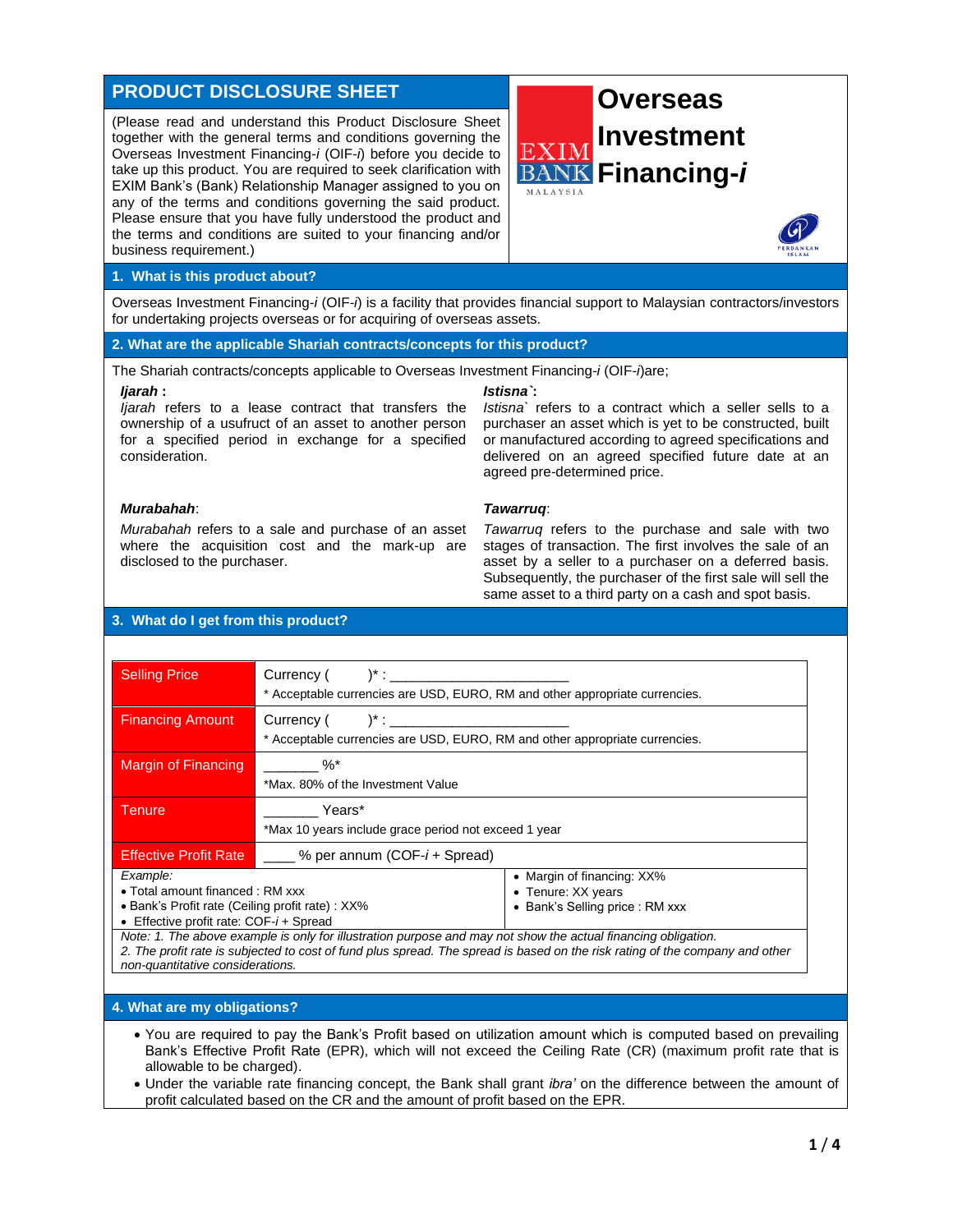# **PRODUCT DISCLOSURE SHEET**

(Please read and understand this Product Disclosure Sheet together with the general terms and conditions governing the Overseas Investment Financing-*i* (OIF-*i*) before you decide to take up this product. You are required to seek clarification with EXIM Bank's (Bank) Relationship Manager assigned to you on any of the terms and conditions governing the said product. Please ensure that you have fully understood the product and the terms and conditions are suited to your financing and/or business requirement.)





Overseas Investment Financing-*i* (OIF-*i*) is a facility that provides financial support to Malaysian contractors/investors for undertaking projects overseas or for acquiring of overseas assets.

## **2. What are the applicable Shariah contracts/concepts for this product?**

The Shariah contracts/concepts applicable to Overseas Investment Financing-*i* (OIF-*i*)are;

#### *Ijarah* **:**

*Ijarah* refers to a lease contract that transfers the ownership of a usufruct of an asset to another person for a specified period in exchange for a specified consideration.

## *Istisna`***:**

*Istisna`* refers to a contract which a seller sells to a purchaser an asset which is yet to be constructed, built or manufactured according to agreed specifications and delivered on an agreed specified future date at an agreed pre-determined price.

## *Murabahah*:

*Murabahah* refers to a sale and purchase of an asset where the acquisition cost and the mark-up are disclosed to the purchaser.

## *Tawarruq*:

*Tawarruq* refers to the purchase and sale with two stages of transaction. The first involves the sale of an asset by a seller to a purchaser on a deferred basis. Subsequently, the purchaser of the first sale will sell the same asset to a third party on a cash and spot basis.

## **3. What do I get from this product?**

| <b>Selling Price</b>                                                                                                                          | $Current($ $)^*$ :<br>* Acceptable currencies are USD, EURO, RM and other appropriate currencies.             |                                                                                                                              |
|-----------------------------------------------------------------------------------------------------------------------------------------------|---------------------------------------------------------------------------------------------------------------|------------------------------------------------------------------------------------------------------------------------------|
| <b>Financing Amount</b>                                                                                                                       | * Acceptable currencies are USD, EURO, RM and other appropriate currencies.                                   |                                                                                                                              |
| Margin of Financing                                                                                                                           | $\%^*$<br>*Max, 80% of the Investment Value                                                                   |                                                                                                                              |
| Tenure                                                                                                                                        | Years*<br>*Max 10 years include grace period not exceed 1 year                                                |                                                                                                                              |
| <b>Effective Profit Rate</b>                                                                                                                  | % per annum (COF- <i>i</i> + Spread)                                                                          |                                                                                                                              |
| Example:<br>• Total amount financed : RM xxx<br>• Bank's Profit rate (Ceiling profit rate) : XX%<br>• Effective profit rate: $COF-i$ + Spread |                                                                                                               | • Margin of financing: XX%<br>• Tenure: XX years<br>• Bank's Selling price: RM xxx                                           |
| non-quantitative considerations.                                                                                                              | Note: 1. The above example is only for illustration purpose and may not show the actual financing obligation. | 2. The profit rate is subjected to cost of fund plus spread. The spread is based on the risk rating of the company and other |

#### **4. What are my obligations?**

- You are required to pay the Bank's Profit based on utilization amount which is computed based on prevailing Bank's Effective Profit Rate (EPR), which will not exceed the Ceiling Rate (CR) (maximum profit rate that is allowable to be charged).
- Under the variable rate financing concept, the Bank shall grant *ibra'* on the difference between the amount of profit calculated based on the CR and the amount of profit based on the EPR.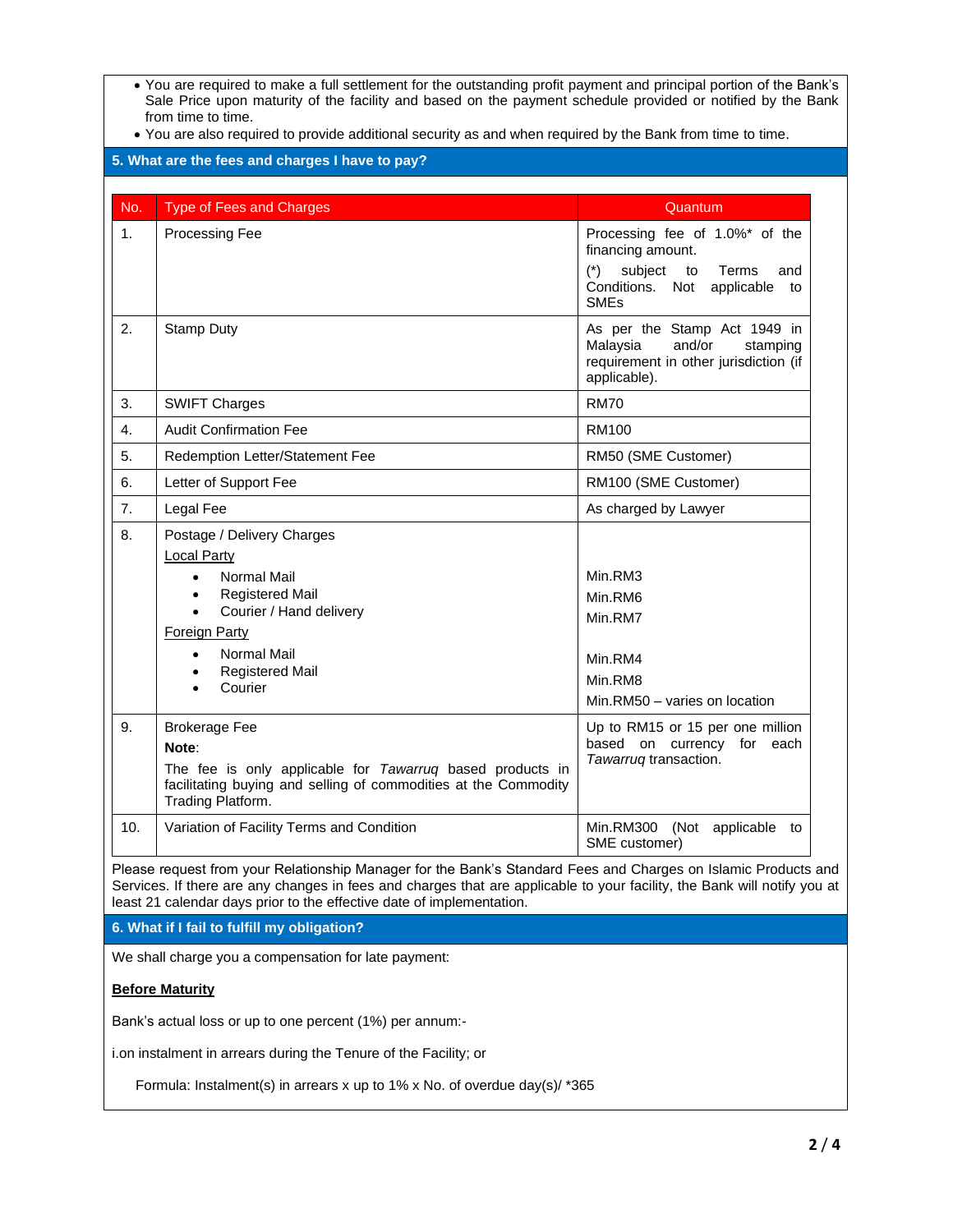- You are required to make a full settlement for the outstanding profit payment and principal portion of the Bank's Sale Price upon maturity of the facility and based on the payment schedule provided or notified by the Bank from time to time.
- You are also required to provide additional security as and when required by the Bank from time to time.

|     |                                                                                                                                                                                                                                                                   | Quantum                                                                                                                                                     |
|-----|-------------------------------------------------------------------------------------------------------------------------------------------------------------------------------------------------------------------------------------------------------------------|-------------------------------------------------------------------------------------------------------------------------------------------------------------|
| 1.  | Processing Fee                                                                                                                                                                                                                                                    | Processing fee of 1.0%* of the<br>financing amount.<br>$(*)$<br>subject<br>Terms<br>to<br>and<br>Conditions. Not<br>applicable to<br><b>SME<sub>s</sub></b> |
| 2.  | <b>Stamp Duty</b>                                                                                                                                                                                                                                                 | As per the Stamp Act 1949 in<br>Malaysia<br>and/or<br>stamping<br>requirement in other jurisdiction (if<br>applicable).                                     |
| 3.  | <b>SWIFT Charges</b>                                                                                                                                                                                                                                              | <b>RM70</b>                                                                                                                                                 |
| 4.  | <b>Audit Confirmation Fee</b>                                                                                                                                                                                                                                     | <b>RM100</b>                                                                                                                                                |
| 5.  | Redemption Letter/Statement Fee                                                                                                                                                                                                                                   | RM50 (SME Customer)                                                                                                                                         |
| 6.  | Letter of Support Fee                                                                                                                                                                                                                                             | RM100 (SME Customer)                                                                                                                                        |
| 7.  | Legal Fee                                                                                                                                                                                                                                                         | As charged by Lawyer                                                                                                                                        |
| 8.  | Postage / Delivery Charges<br><b>Local Party</b><br>Normal Mail<br>$\bullet$<br><b>Registered Mail</b><br>$\bullet$<br>Courier / Hand delivery<br>$\bullet$<br><b>Foreign Party</b><br>Normal Mail<br>$\bullet$<br><b>Registered Mail</b><br>$\bullet$<br>Courier | Min.RM3<br>Min.RM6<br>Min.RM7<br>Min.RM4<br>Min.RM8<br>Min.RM50 - varies on location                                                                        |
| 9.  | <b>Brokerage Fee</b><br>Note:<br>The fee is only applicable for Tawarruq based products in<br>facilitating buying and selling of commodities at the Commodity<br>Trading Platform.                                                                                | Up to RM15 or 15 per one million<br>based on currency for each<br>Tawarruq transaction.                                                                     |
| 10. | Variation of Facility Terms and Condition                                                                                                                                                                                                                         | Min.RM300 (Not applicable to<br>SME customer)                                                                                                               |

We shall charge you a compensation for late payment:

## **Before Maturity**

Bank's actual loss or up to one percent (1%) per annum:-

i.on instalment in arrears during the Tenure of the Facility; or

Formula: Instalment(s) in arrears x up to 1% x No. of overdue day(s)/ \*365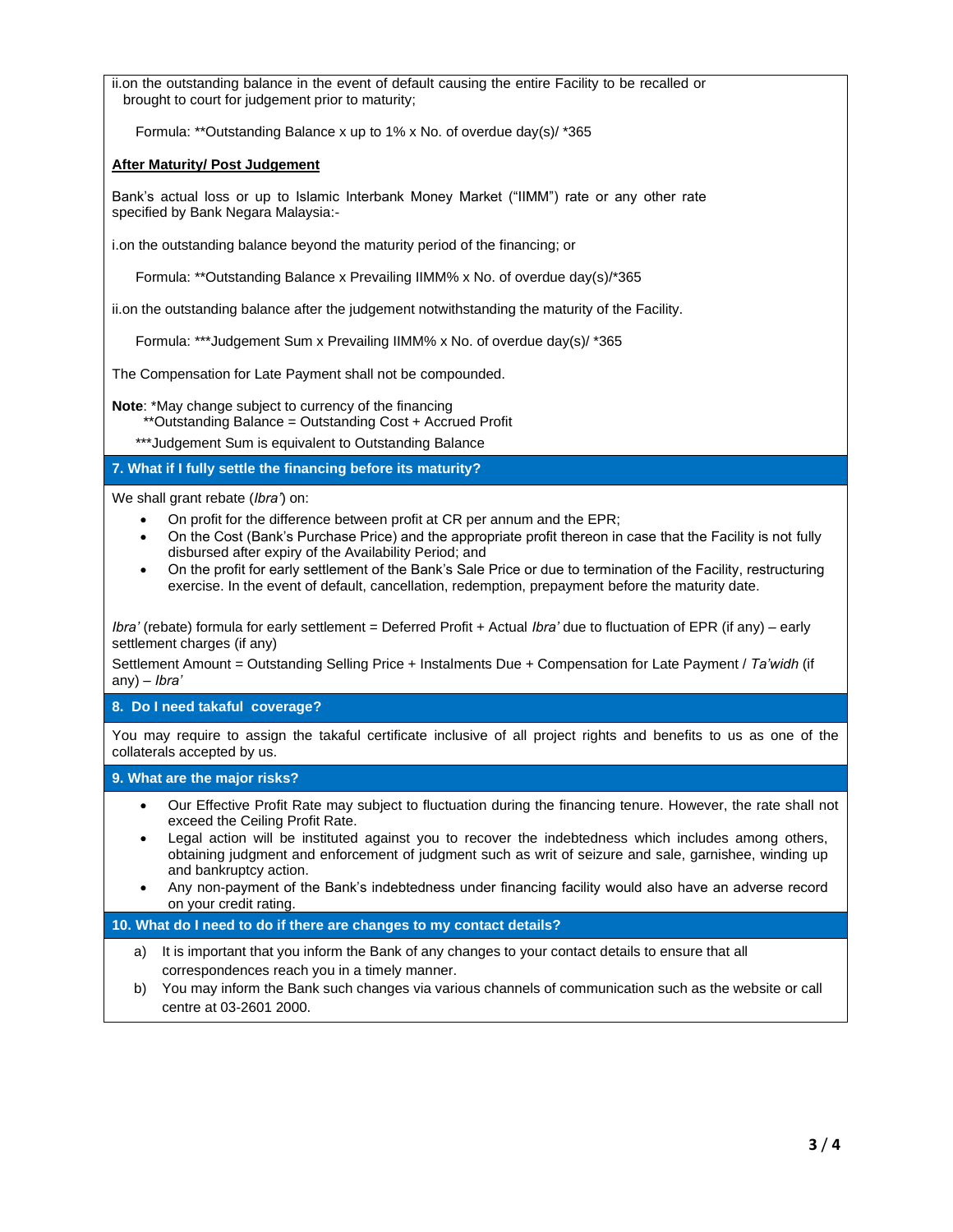ii.on the outstanding balance in the event of default causing the entire Facility to be recalled or brought to court for judgement prior to maturity;

Formula: \*\*Outstanding Balance x up to 1% x No. of overdue day(s)/ \*365

## **After Maturity/ Post Judgement**

Bank's actual loss or up to Islamic Interbank Money Market ("IIMM") rate or any other rate specified by Bank Negara Malaysia:-

i.on the outstanding balance beyond the maturity period of the financing; or

Formula: \*\*Outstanding Balance x Prevailing IIMM% x No. of overdue day(s)/\*365

ii.on the outstanding balance after the judgement notwithstanding the maturity of the Facility.

Formula: \*\*\*Judgement Sum x Prevailing IIMM% x No. of overdue day(s)/ \*365

The Compensation for Late Payment shall not be compounded.

**Note**: \*May change subject to currency of the financing

\*\*Outstanding Balance = Outstanding Cost + Accrued Profit

\*\*\*Judgement Sum is equivalent to Outstanding Balance

## **7. What if I fully settle the financing before its maturity?**

We shall grant rebate (*Ibra'*) on:

- On profit for the difference between profit at CR per annum and the EPR;
- On the Cost (Bank's Purchase Price) and the appropriate profit thereon in case that the Facility is not fully disbursed after expiry of the Availability Period; and
- On the profit for early settlement of the Bank's Sale Price or due to termination of the Facility, restructuring exercise. In the event of default, cancellation, redemption, prepayment before the maturity date.

*Ibra'* (rebate) formula for early settlement = Deferred Profit + Actual *Ibra'* due to fluctuation of EPR (if any) – early settlement charges (if any)

Settlement Amount = Outstanding Selling Price + Instalments Due + Compensation for Late Payment / *Ta'widh* (if any) – *Ibra'* 

**8. Do I need takaful coverage?**

You may require to assign the takaful certificate inclusive of all project rights and benefits to us as one of the collaterals accepted by us.

## **9. What are the major risks?**

- Our Effective Profit Rate may subject to fluctuation during the financing tenure. However, the rate shall not exceed the Ceiling Profit Rate.
- Legal action will be instituted against you to recover the indebtedness which includes among others, obtaining judgment and enforcement of judgment such as writ of seizure and sale, garnishee, winding up and bankruptcy action.
- Any non-payment of the Bank's indebtedness under financing facility would also have an adverse record on your credit rating.

## **10. What do I need to do if there are changes to my contact details?**

- a) It is important that you inform the Bank of any changes to your contact details to ensure that all correspondences reach you in a timely manner.
- b) You may inform the Bank such changes via various channels of communication such as the website or call centre at 03-2601 2000.